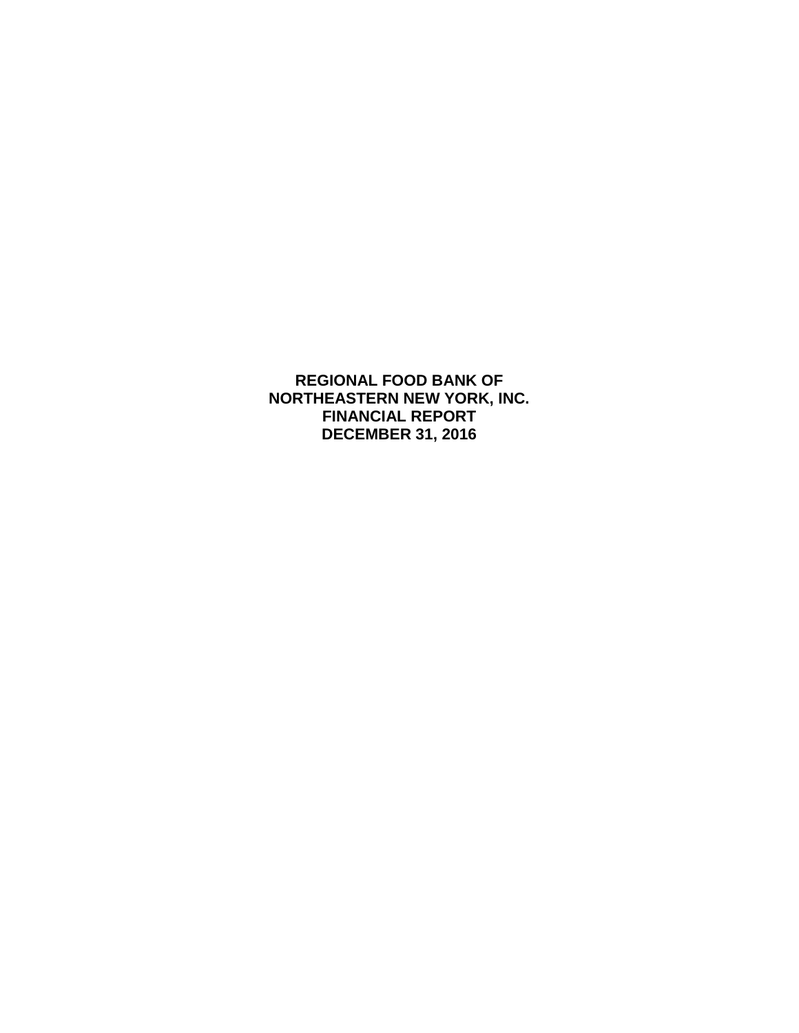**REGIONAL FOOD BANK OF NORTHEASTERN NEW YORK, INC. FINANCIAL REPORT DECEMBER 31, 2016**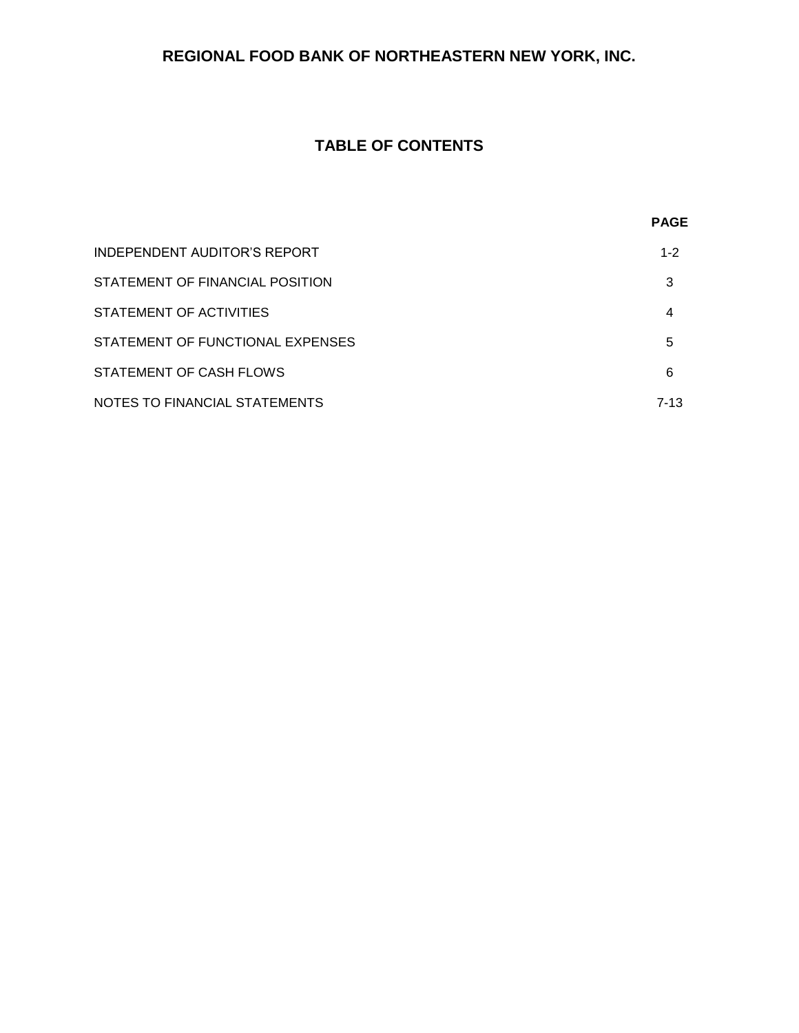# **REGIONAL FOOD BANK OF NORTHEASTERN NEW YORK, INC.**

# **TABLE OF CONTENTS**

|                                  | <b>PAGE</b> |
|----------------------------------|-------------|
| INDEPENDENT AUDITOR'S REPORT     | $1 - 2$     |
| STATEMENT OF FINANCIAL POSITION  | 3           |
| STATEMENT OF ACTIVITIES          | 4           |
| STATEMENT OF FUNCTIONAL EXPENSES | 5           |
| STATEMENT OF CASH FLOWS          | 6           |
| NOTES TO FINANCIAL STATEMENTS    | $7 - 13$    |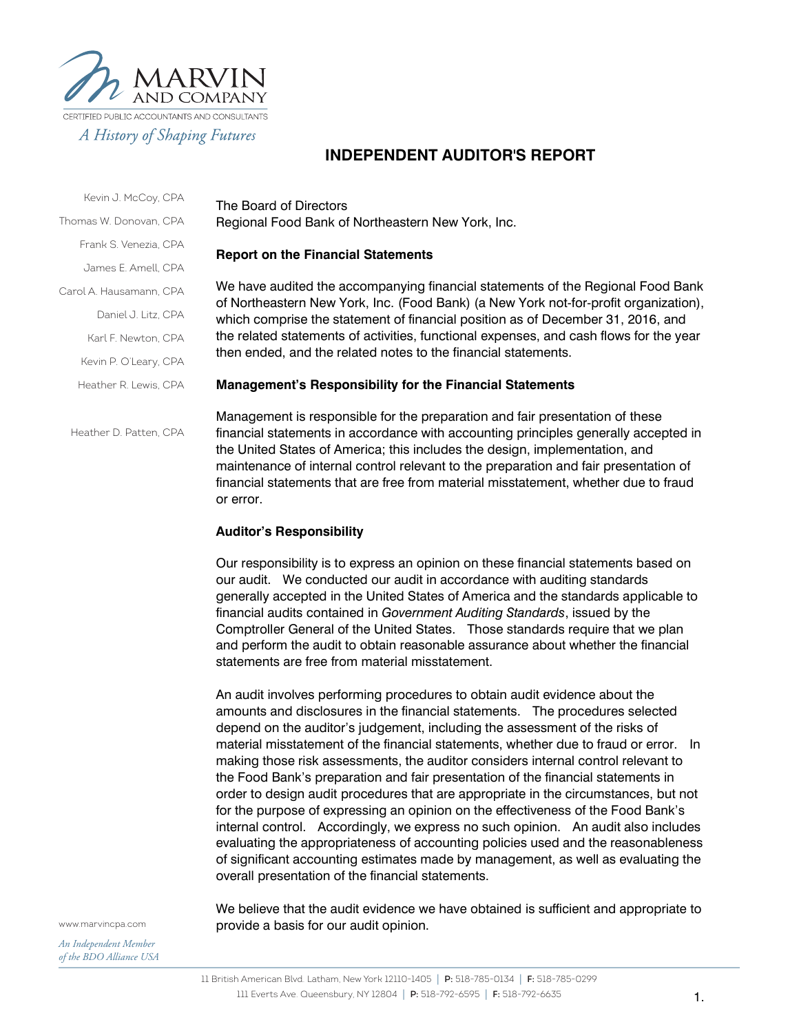

# **INDEPENDENT AUDITOR'S REPORT**

Kevin J. McCoy, CPA Thomas W. Donovan, CPA Frank S. Venezia, CPA

James E. Amell, CPA

Carol A. Hausamann, CPA

Daniel J. Litz, CPA

Karl F. Newton, CPA

Kevin P. O'Leary, CPA

Heather R. Lewis, CPA

Heather D. Patten, CPA

The Board of Directors Regional Food Bank of Northeastern New York, Inc.

#### **Report on the Financial Statements**

We have audited the accompanying financial statements of the Regional Food Bank of Northeastern New York, Inc. (Food Bank) (a New York not-for-profit organization), which comprise the statement of financial position as of December 31, 2016, and the related statements of activities, functional expenses, and cash flows for the year then ended, and the related notes to the financial statements.

#### **Management's Responsibility for the Financial Statements**

Management is responsible for the preparation and fair presentation of these financial statements in accordance with accounting principles generally accepted in the United States of America; this includes the design, implementation, and maintenance of internal control relevant to the preparation and fair presentation of financial statements that are free from material misstatement, whether due to fraud or error.

#### **Auditor's Responsibility**

Our responsibility is to express an opinion on these financial statements based on our audit. We conducted our audit in accordance with auditing standards generally accepted in the United States of America and the standards applicable to financial audits contained in *Government Auditing Standards*, issued by the Comptroller General of the United States. Those standards require that we plan and perform the audit to obtain reasonable assurance about whether the financial statements are free from material misstatement.

An audit involves performing procedures to obtain audit evidence about the amounts and disclosures in the financial statements. The procedures selected depend on the auditor's judgement, including the assessment of the risks of material misstatement of the financial statements, whether due to fraud or error. In making those risk assessments, the auditor considers internal control relevant to the Food Bank's preparation and fair presentation of the financial statements in order to design audit procedures that are appropriate in the circumstances, but not for the purpose of expressing an opinion on the effectiveness of the Food Bank's internal control. Accordingly, we express no such opinion. An audit also includes evaluating the appropriateness of accounting policies used and the reasonableness of significant accounting estimates made by management, as well as evaluating the overall presentation of the financial statements.

We believe that the audit evidence we have obtained is sufficient and appropriate to provide a basis for our audit opinion.

www.marvincpa.com

*An Independent Member of the BDO Alliance USA*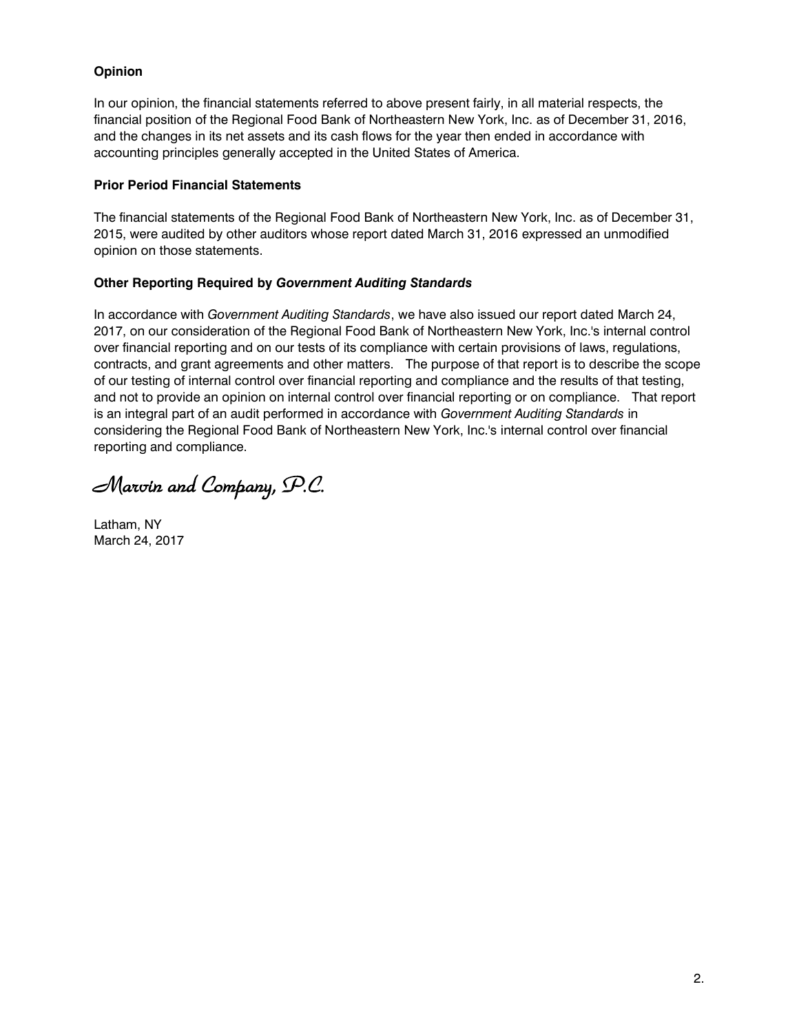## **Opinion**

In our opinion, the financial statements referred to above present fairly, in all material respects, the financial position of the Regional Food Bank of Northeastern New York, Inc. as of December 31, 2016, and the changes in its net assets and its cash flows for the year then ended in accordance with accounting principles generally accepted in the United States of America.

### **Prior Period Financial Statements**

The financial statements of the Regional Food Bank of Northeastern New York, Inc. as of December 31, 2015, were audited by other auditors whose report dated March 31, 2016 expressed an unmodified opinion on those statements.

## **Other Reporting Required by** *Government Auditing Standards*

In accordance with *Government Auditing Standards*, we have also issued our report dated March 24, 2017, on our consideration of the Regional Food Bank of Northeastern New York, Inc.'s internal control over financial reporting and on our tests of its compliance with certain provisions of laws, regulations, contracts, and grant agreements and other matters. The purpose of that report is to describe the scope of our testing of internal control over financial reporting and compliance and the results of that testing, and not to provide an opinion on internal control over financial reporting or on compliance. That report is an integral part of an audit performed in accordance with *Government Auditing Standards* in considering the Regional Food Bank of Northeastern New York, Inc.'s internal control over financial reporting and compliance.

*Marvin and Company, P.C.* 

Latham, NY March 24, 2017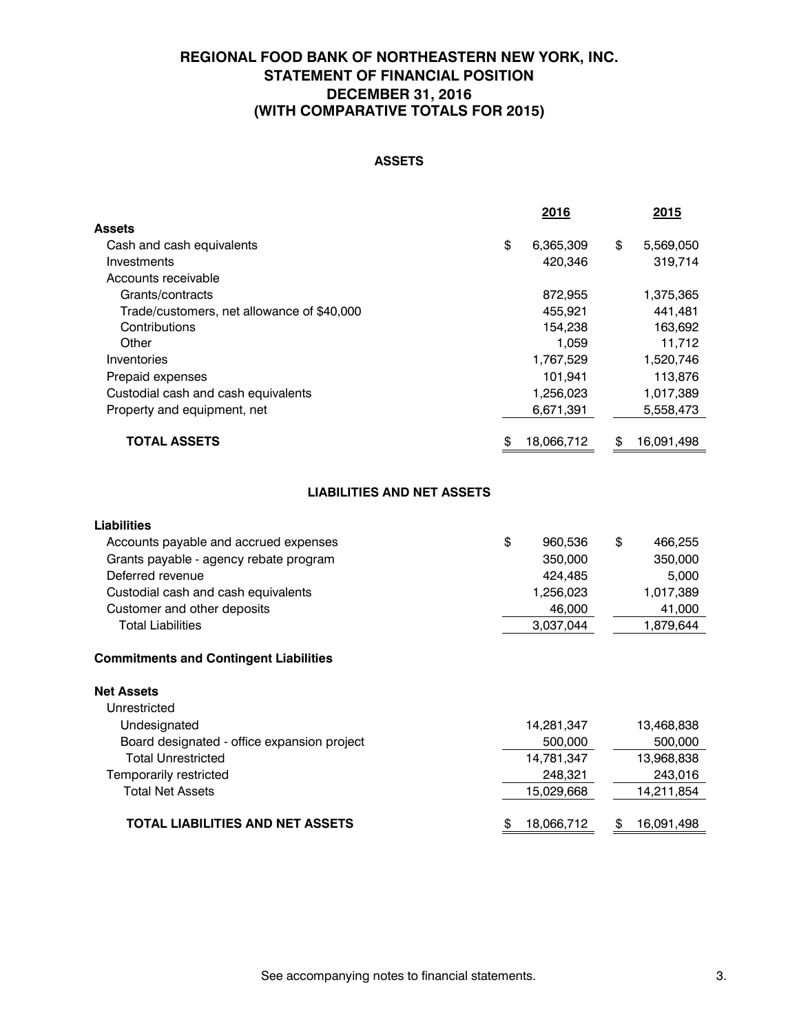# **REGIONAL FOOD BANK OF NORTHEASTERN NEW YORK, INC. STATEMENT OF FINANCIAL POSITION DECEMBER 31, 2016 (WITH COMPARATIVE TOTALS FOR 2015)**

# **ASSETS**

|                                            | 2016             | 2015             |
|--------------------------------------------|------------------|------------------|
| Assets                                     |                  |                  |
| Cash and cash equivalents                  | \$<br>6,365,309  | \$<br>5,569,050  |
| Investments                                | 420.346          | 319,714          |
| Accounts receivable                        |                  |                  |
| Grants/contracts                           | 872,955          | 1,375,365        |
| Trade/customers, net allowance of \$40,000 | 455.921          | 441.481          |
| Contributions                              | 154,238          | 163,692          |
| Other                                      | 1,059            | 11,712           |
| Inventories                                | 1,767,529        | 1,520,746        |
| Prepaid expenses                           | 101,941          | 113,876          |
| Custodial cash and cash equivalents        | 1,256,023        | 1,017,389        |
| Property and equipment, net                | 6,671,391        | 5,558,473        |
| <b>TOTAL ASSETS</b>                        | \$<br>18,066,712 | \$<br>16,091,498 |
|                                            |                  |                  |

#### **LIABILITIES AND NET ASSETS**

| <b>Liabilities</b><br>Accounts payable and accrued expenses<br>Grants payable - agency rebate program<br>Deferred revenue<br>Custodial cash and cash equivalents<br>Customer and other deposits<br><b>Total Liabilities</b> | \$<br>960,536<br>350,000<br>424.485<br>1,256,023<br>46,000<br>3,037,044 | \$<br>466,255<br>350,000<br>5,000<br>1,017,389<br>41,000<br>1,879,644 |
|-----------------------------------------------------------------------------------------------------------------------------------------------------------------------------------------------------------------------------|-------------------------------------------------------------------------|-----------------------------------------------------------------------|
|                                                                                                                                                                                                                             |                                                                         |                                                                       |
| <b>Commitments and Contingent Liabilities</b>                                                                                                                                                                               |                                                                         |                                                                       |
| <b>Net Assets</b><br>Unrestricted                                                                                                                                                                                           |                                                                         |                                                                       |
| Undesignated                                                                                                                                                                                                                | 14,281,347                                                              | 13,468,838                                                            |
| Board designated - office expansion project                                                                                                                                                                                 | 500,000                                                                 | 500,000                                                               |
| <b>Total Unrestricted</b>                                                                                                                                                                                                   | 14,781,347                                                              | 13,968,838                                                            |
| Temporarily restricted                                                                                                                                                                                                      | 248,321                                                                 | 243,016                                                               |
| <b>Total Net Assets</b>                                                                                                                                                                                                     | 15,029,668                                                              | 14,211,854                                                            |
| <b>TOTAL LIABILITIES AND NET ASSETS</b>                                                                                                                                                                                     | \$<br>18,066,712                                                        | \$<br>16,091,498                                                      |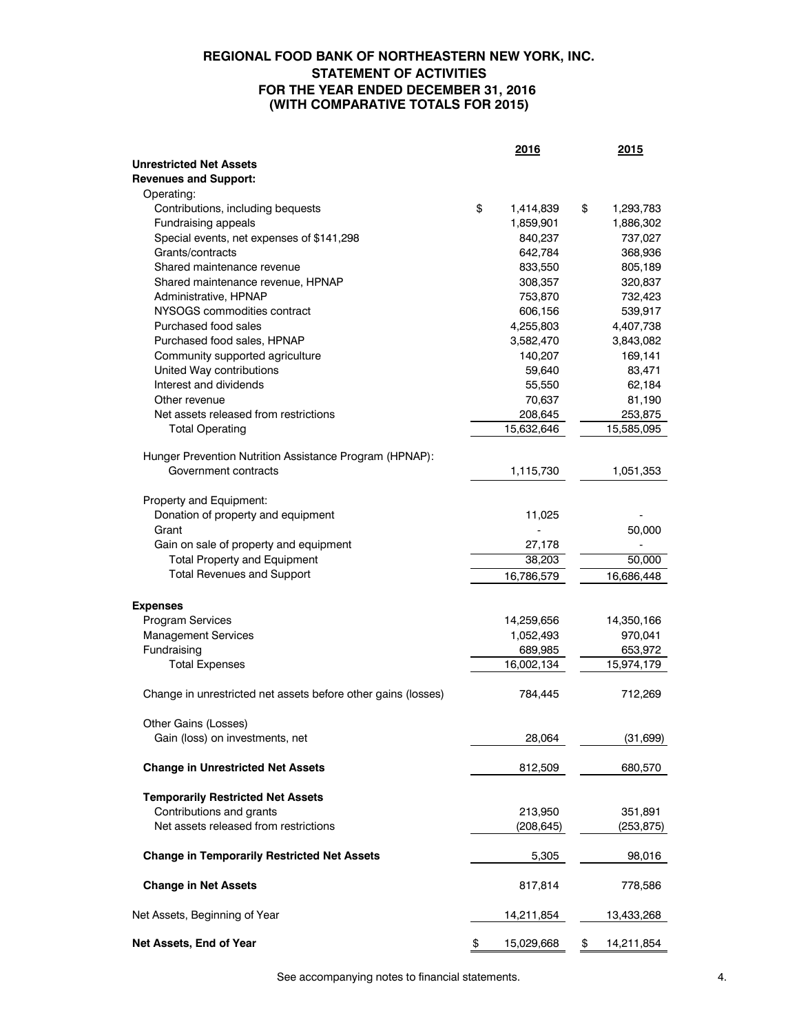## **REGIONAL FOOD BANK OF NORTHEASTERN NEW YORK, INC. STATEMENT OF ACTIVITIES FOR THE YEAR ENDED DECEMBER 31, 2016 (WITH COMPARATIVE TOTALS FOR 2015)**

|                                                               | 2016             | 2015             |
|---------------------------------------------------------------|------------------|------------------|
| <b>Unrestricted Net Assets</b>                                |                  |                  |
| <b>Revenues and Support:</b>                                  |                  |                  |
| Operating:                                                    |                  |                  |
| Contributions, including bequests                             | \$<br>1,414,839  | \$<br>1,293,783  |
| Fundraising appeals                                           | 1,859,901        | 1,886,302        |
| Special events, net expenses of \$141,298                     | 840,237          | 737,027          |
| Grants/contracts                                              | 642,784          | 368,936          |
| Shared maintenance revenue                                    | 833,550          | 805,189          |
| Shared maintenance revenue, HPNAP                             | 308,357          | 320,837          |
| Administrative, HPNAP                                         | 753,870          | 732,423          |
| NYSOGS commodities contract                                   | 606,156          | 539,917          |
| Purchased food sales                                          | 4,255,803        | 4,407,738        |
| Purchased food sales, HPNAP                                   | 3,582,470        | 3,843,082        |
| Community supported agriculture                               | 140,207          | 169,141          |
| United Way contributions                                      | 59,640           | 83,471           |
| Interest and dividends                                        | 55,550           | 62,184           |
| Other revenue                                                 | 70,637           | 81,190           |
| Net assets released from restrictions                         | 208,645          | 253,875          |
| <b>Total Operating</b>                                        | 15,632,646       | 15,585,095       |
|                                                               |                  |                  |
| Hunger Prevention Nutrition Assistance Program (HPNAP):       |                  |                  |
| Government contracts                                          | 1,115,730        | 1,051,353        |
|                                                               |                  |                  |
| Property and Equipment:                                       |                  |                  |
| Donation of property and equipment                            | 11,025           |                  |
| Grant                                                         |                  | 50,000           |
| Gain on sale of property and equipment                        | 27,178           |                  |
| <b>Total Property and Equipment</b>                           | 38,203           | 50,000           |
| <b>Total Revenues and Support</b>                             |                  |                  |
|                                                               | 16,786,579       | 16,686,448       |
|                                                               |                  |                  |
| <b>Expenses</b>                                               |                  |                  |
| Program Services                                              | 14,259,656       | 14,350,166       |
| <b>Management Services</b>                                    | 1,052,493        | 970,041          |
| Fundraising                                                   | 689,985          | 653,972          |
| <b>Total Expenses</b>                                         | 16,002,134       | 15,974,179       |
|                                                               |                  |                  |
| Change in unrestricted net assets before other gains (losses) | 784,445          | 712,269          |
|                                                               |                  |                  |
| Other Gains (Losses)                                          |                  |                  |
| Gain (loss) on investments, net                               | 28,064           | (31, 699)        |
|                                                               |                  |                  |
| <b>Change in Unrestricted Net Assets</b>                      | 812,509          | 680,570          |
|                                                               |                  |                  |
| <b>Temporarily Restricted Net Assets</b>                      |                  |                  |
| Contributions and grants                                      | 213,950          | 351,891          |
| Net assets released from restrictions                         | (208, 645)       | (253, 875)       |
|                                                               |                  |                  |
| <b>Change in Temporarily Restricted Net Assets</b>            | 5,305            | 98,016           |
|                                                               |                  |                  |
| <b>Change in Net Assets</b>                                   | 817,814          | 778,586          |
|                                                               |                  |                  |
| Net Assets, Beginning of Year                                 | 14,211,854       | 13,433,268       |
|                                                               |                  |                  |
| Net Assets, End of Year                                       | \$<br>15,029,668 | \$<br>14,211,854 |

See accompanying notes to financial statements. 4.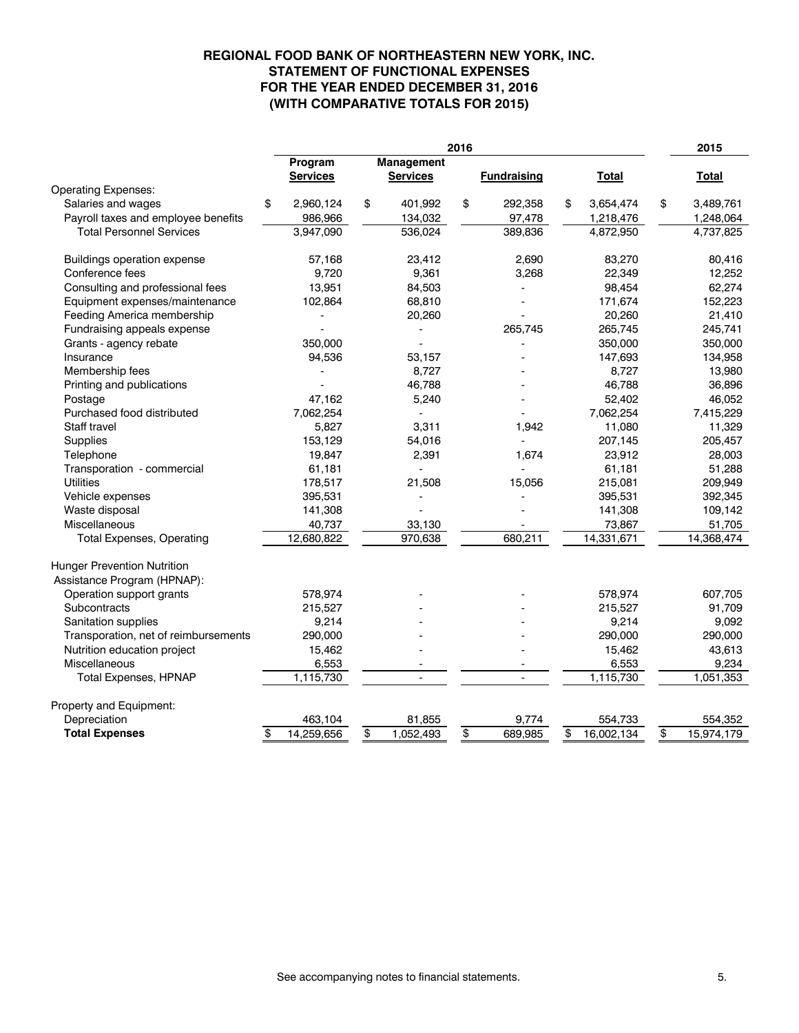## **(WITH COMPARATIVE TOTALS FOR 2015) FOR THE YEAR ENDED DECEMBER 31, 2016 STATEMENT OF FUNCTIONAL EXPENSES REGIONAL FOOD BANK OF NORTHEASTERN NEW YORK, INC.**

| 2016                                                              |                            | 2015                          |                    |                  |                  |
|-------------------------------------------------------------------|----------------------------|-------------------------------|--------------------|------------------|------------------|
|                                                                   | Program<br><b>Services</b> | Management<br><b>Services</b> | <b>Fundraising</b> | Total            | Total            |
| <b>Operating Expenses:</b>                                        |                            |                               |                    |                  |                  |
| Salaries and wages                                                | \$<br>2,960,124            | \$<br>401,992                 | \$<br>292,358      | 3,654,474<br>\$  | \$<br>3,489,761  |
| Payroll taxes and employee benefits                               | 986,966                    | 134,032                       | 97,478             | 1,218,476        | 1,248,064        |
| <b>Total Personnel Services</b>                                   | 3,947,090                  | 536,024                       | 389,836            | 4,872,950        | 4,737,825        |
| <b>Buildings operation expense</b>                                | 57,168                     | 23,412                        | 2,690              | 83,270           | 80,416           |
| Conference fees                                                   | 9,720                      | 9,361                         | 3,268              | 22,349           | 12,252           |
| Consulting and professional fees                                  | 13,951                     | 84,503                        |                    | 98,454           | 62,274           |
| Equipment expenses/maintenance                                    | 102,864                    | 68,810                        |                    | 171,674          | 152,223          |
| Feeding America membership                                        |                            | 20,260                        |                    | 20,260           | 21,410           |
| Fundraising appeals expense                                       |                            |                               | 265.745            | 265,745          | 245,741          |
| Grants - agency rebate                                            | 350,000                    |                               |                    | 350,000          | 350,000          |
| Insurance                                                         | 94,536                     | 53,157                        |                    | 147,693          | 134,958          |
| Membership fees                                                   |                            | 8,727                         |                    | 8,727            | 13,980           |
| Printing and publications                                         | ÷                          | 46,788                        |                    | 46,788           | 36,896           |
| Postage                                                           | 47,162                     | 5,240                         |                    | 52,402           | 46,052           |
| Purchased food distributed                                        | 7,062,254                  |                               |                    | 7,062,254        | 7,415,229        |
| Staff travel                                                      | 5,827                      | 3,311                         | 1,942              | 11,080           | 11,329           |
| Supplies                                                          | 153,129                    | 54,016                        |                    | 207,145          | 205,457          |
| Telephone                                                         | 19,847                     | 2,391                         | 1,674              | 23,912           | 28,003           |
| Transporation - commercial                                        | 61,181                     |                               |                    | 61,181           | 51,288           |
| <b>Utilities</b>                                                  | 178,517                    | 21,508                        | 15,056             | 215,081          | 209,949          |
| Vehicle expenses                                                  | 395,531                    |                               |                    | 395,531          | 392,345          |
| Waste disposal                                                    | 141,308                    |                               |                    | 141,308          | 109,142          |
| <b>Miscellaneous</b>                                              | 40,737                     | 33,130                        |                    | 73,867           | 51,705           |
| <b>Total Expenses, Operating</b>                                  | 12,680,822                 | 970,638                       | 680,211            | 14,331,671       | 14,368,474       |
| <b>Hunger Prevention Nutrition</b><br>Assistance Program (HPNAP): |                            |                               |                    |                  |                  |
| Operation support grants                                          | 578,974                    |                               |                    | 578,974          | 607,705          |
| Subcontracts                                                      | 215,527                    |                               |                    | 215,527          | 91,709           |
| Sanitation supplies                                               | 9,214                      |                               |                    | 9,214            | 9,092            |
| Transporation, net of reimbursements                              | 290,000                    |                               |                    | 290,000          | 290,000          |
| Nutrition education project                                       | 15,462                     |                               |                    | 15,462           | 43,613           |
| <b>Miscellaneous</b>                                              | 6,553                      |                               |                    | 6,553            | 9,234            |
| <b>Total Expenses, HPNAP</b>                                      | 1,115,730                  | $\mathbf{r}$                  | ÷.                 | 1,115,730        | 1,051,353        |
| Property and Equipment:                                           |                            |                               |                    |                  |                  |
| Depreciation                                                      | 463,104                    | 81,855                        | 9,774              | 554,733          | 554,352          |
| <b>Total Expenses</b>                                             | \$<br>14,259,656           | \$<br>1,052,493               | \$<br>689,985      | \$<br>16,002,134 | \$<br>15,974,179 |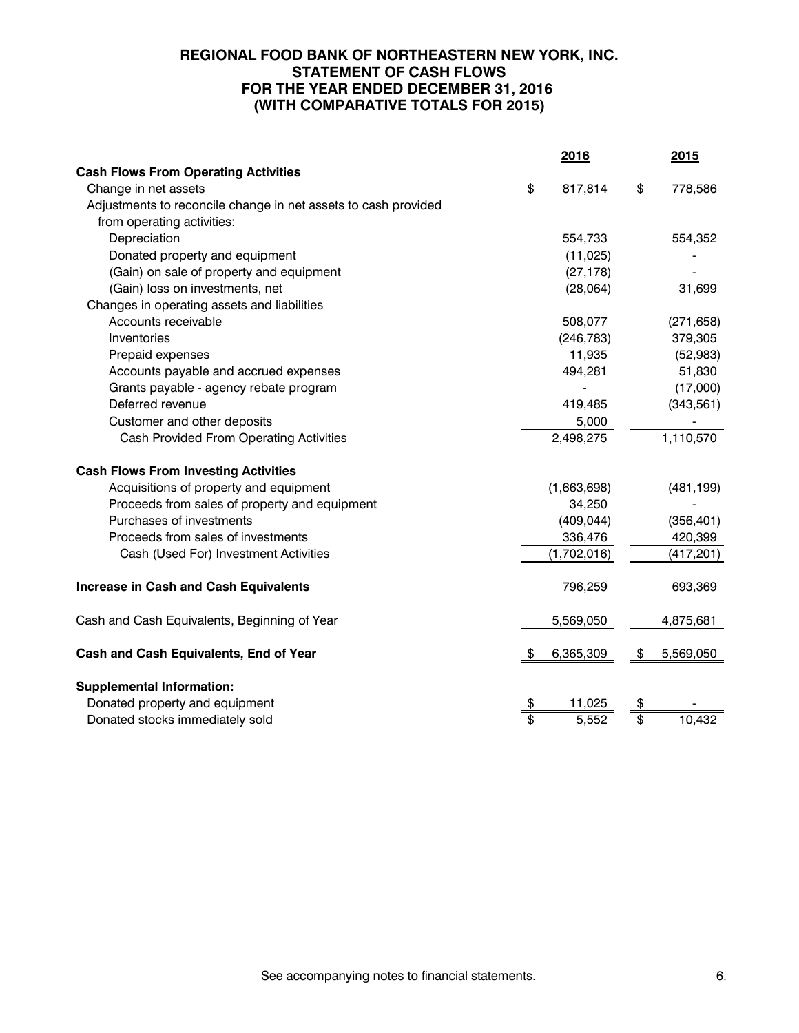# **REGIONAL FOOD BANK OF NORTHEASTERN NEW YORK, INC. STATEMENT OF CASH FLOWS FOR THE YEAR ENDED DECEMBER 31, 2016 (WITH COMPARATIVE TOTALS FOR 2015)**

|                                                                | 2016            |                         | 2015       |
|----------------------------------------------------------------|-----------------|-------------------------|------------|
| <b>Cash Flows From Operating Activities</b>                    |                 |                         |            |
| Change in net assets                                           | \$<br>817,814   | \$                      | 778,586    |
| Adjustments to reconcile change in net assets to cash provided |                 |                         |            |
| from operating activities:                                     |                 |                         |            |
| Depreciation                                                   | 554,733         |                         | 554,352    |
| Donated property and equipment                                 | (11, 025)       |                         |            |
| (Gain) on sale of property and equipment                       | (27, 178)       |                         |            |
| (Gain) loss on investments, net                                | (28,064)        |                         | 31,699     |
| Changes in operating assets and liabilities                    |                 |                         |            |
| Accounts receivable                                            | 508,077         |                         | (271, 658) |
| Inventories                                                    | (246, 783)      |                         | 379,305    |
| Prepaid expenses                                               | 11,935          |                         | (52, 983)  |
| Accounts payable and accrued expenses                          | 494,281         |                         | 51,830     |
| Grants payable - agency rebate program                         |                 |                         | (17,000)   |
| Deferred revenue                                               | 419,485         |                         | (343, 561) |
| Customer and other deposits                                    | 5,000           |                         |            |
| Cash Provided From Operating Activities                        | 2,498,275       |                         | 1,110,570  |
| <b>Cash Flows From Investing Activities</b>                    |                 |                         |            |
| Acquisitions of property and equipment                         | (1,663,698)     |                         | (481, 199) |
| Proceeds from sales of property and equipment                  | 34,250          |                         |            |
| Purchases of investments                                       | (409, 044)      |                         | (356, 401) |
| Proceeds from sales of investments                             | 336,476         |                         | 420,399    |
| Cash (Used For) Investment Activities                          | (1,702,016)     |                         | (417, 201) |
| <b>Increase in Cash and Cash Equivalents</b>                   | 796,259         |                         | 693,369    |
| Cash and Cash Equivalents, Beginning of Year                   | 5,569,050       |                         | 4,875,681  |
| <b>Cash and Cash Equivalents, End of Year</b>                  | \$<br>6,365,309 | \$                      | 5,569,050  |
| <b>Supplemental Information:</b>                               |                 |                         |            |
| Donated property and equipment                                 | \$<br>11,025    | \$                      |            |
| Donated stocks immediately sold                                | \$<br>5,552     | $\overline{\mathbf{e}}$ | 10,432     |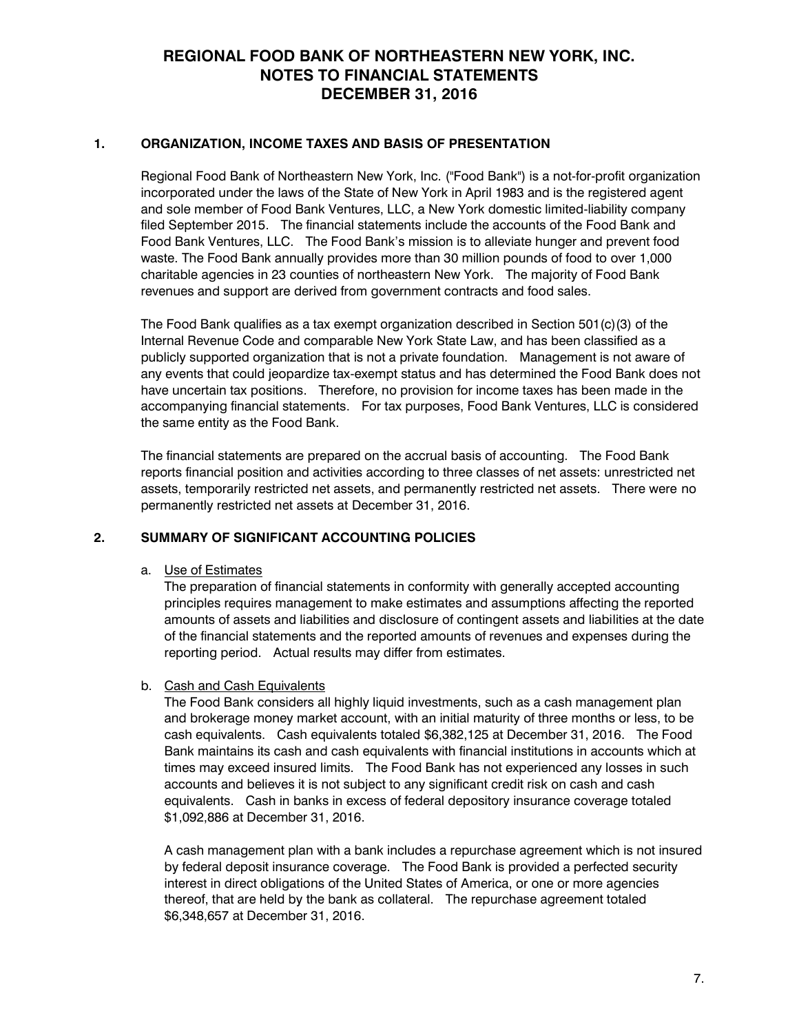### **1. ORGANIZATION, INCOME TAXES AND BASIS OF PRESENTATION**

Regional Food Bank of Northeastern New York, Inc. ("Food Bank") is a not-for-profit organization incorporated under the laws of the State of New York in April 1983 and is the registered agent and sole member of Food Bank Ventures, LLC, a New York domestic limited-liability company filed September 2015. The financial statements include the accounts of the Food Bank and Food Bank Ventures, LLC. The Food Bank's mission is to alleviate hunger and prevent food waste. The Food Bank annually provides more than 30 million pounds of food to over 1,000 charitable agencies in 23 counties of northeastern New York. The majority of Food Bank revenues and support are derived from government contracts and food sales.

The Food Bank qualifies as a tax exempt organization described in Section 501(c)(3) of the Internal Revenue Code and comparable New York State Law, and has been classified as a publicly supported organization that is not a private foundation. Management is not aware of any events that could jeopardize tax-exempt status and has determined the Food Bank does not have uncertain tax positions. Therefore, no provision for income taxes has been made in the accompanying financial statements. For tax purposes, Food Bank Ventures, LLC is considered the same entity as the Food Bank.

The financial statements are prepared on the accrual basis of accounting. The Food Bank reports financial position and activities according to three classes of net assets: unrestricted net assets, temporarily restricted net assets, and permanently restricted net assets. There were no permanently restricted net assets at December 31, 2016.

## **2. SUMMARY OF SIGNIFICANT ACCOUNTING POLICIES**

#### a. Use of Estimates

The preparation of financial statements in conformity with generally accepted accounting principles requires management to make estimates and assumptions affecting the reported amounts of assets and liabilities and disclosure of contingent assets and liabilities at the date of the financial statements and the reported amounts of revenues and expenses during the reporting period. Actual results may differ from estimates.

#### b. Cash and Cash Equivalents

The Food Bank considers all highly liquid investments, such as a cash management plan and brokerage money market account, with an initial maturity of three months or less, to be cash equivalents. Cash equivalents totaled \$6,382,125 at December 31, 2016. The Food Bank maintains its cash and cash equivalents with financial institutions in accounts which at times may exceed insured limits. The Food Bank has not experienced any losses in such accounts and believes it is not subject to any significant credit risk on cash and cash equivalents. Cash in banks in excess of federal depository insurance coverage totaled \$1,092,886 at December 31, 2016.

A cash management plan with a bank includes a repurchase agreement which is not insured by federal deposit insurance coverage. The Food Bank is provided a perfected security interest in direct obligations of the United States of America, or one or more agencies thereof, that are held by the bank as collateral. The repurchase agreement totaled \$6,348,657 at December 31, 2016.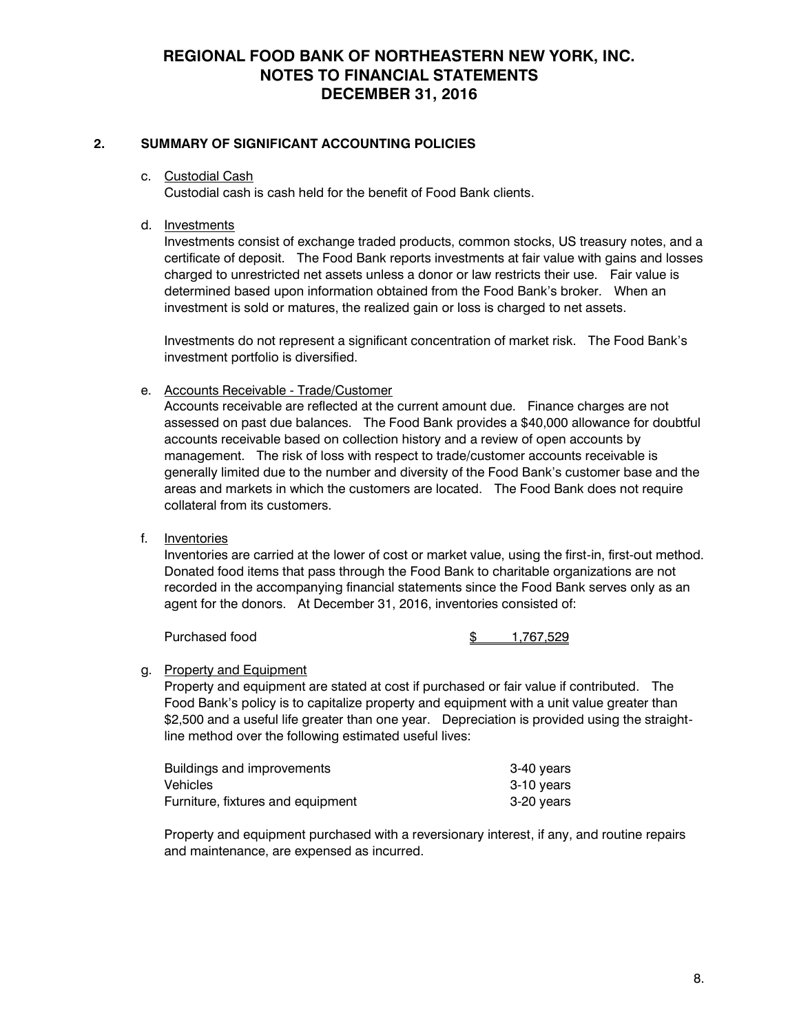## **2. SUMMARY OF SIGNIFICANT ACCOUNTING POLICIES**

c. Custodial Cash

Custodial cash is cash held for the benefit of Food Bank clients.

d. Investments

Investments consist of exchange traded products, common stocks, US treasury notes, and a certificate of deposit. The Food Bank reports investments at fair value with gains and losses charged to unrestricted net assets unless a donor or law restricts their use. Fair value is determined based upon information obtained from the Food Bank's broker. When an investment is sold or matures, the realized gain or loss is charged to net assets.

Investments do not represent a significant concentration of market risk. The Food Bank's investment portfolio is diversified.

e. Accounts Receivable - Trade/Customer

Accounts receivable are reflected at the current amount due. Finance charges are not assessed on past due balances. The Food Bank provides a \$40,000 allowance for doubtful accounts receivable based on collection history and a review of open accounts by management. The risk of loss with respect to trade/customer accounts receivable is generally limited due to the number and diversity of the Food Bank's customer base and the areas and markets in which the customers are located. The Food Bank does not require collateral from its customers.

f. Inventories

Inventories are carried at the lower of cost or market value, using the first-in, first-out method. Donated food items that pass through the Food Bank to charitable organizations are not recorded in the accompanying financial statements since the Food Bank serves only as an agent for the donors. At December 31, 2016, inventories consisted of:

Purchased food  $\frac{1767,529}{ }$ 

#### g. Property and Equipment

Property and equipment are stated at cost if purchased or fair value if contributed. The Food Bank's policy is to capitalize property and equipment with a unit value greater than \$2,500 and a useful life greater than one year. Depreciation is provided using the straightline method over the following estimated useful lives:

| Buildings and improvements        | 3-40 years |
|-----------------------------------|------------|
| Vehicles                          | 3-10 years |
| Furniture, fixtures and equipment | 3-20 years |

Property and equipment purchased with a reversionary interest, if any, and routine repairs and maintenance, are expensed as incurred.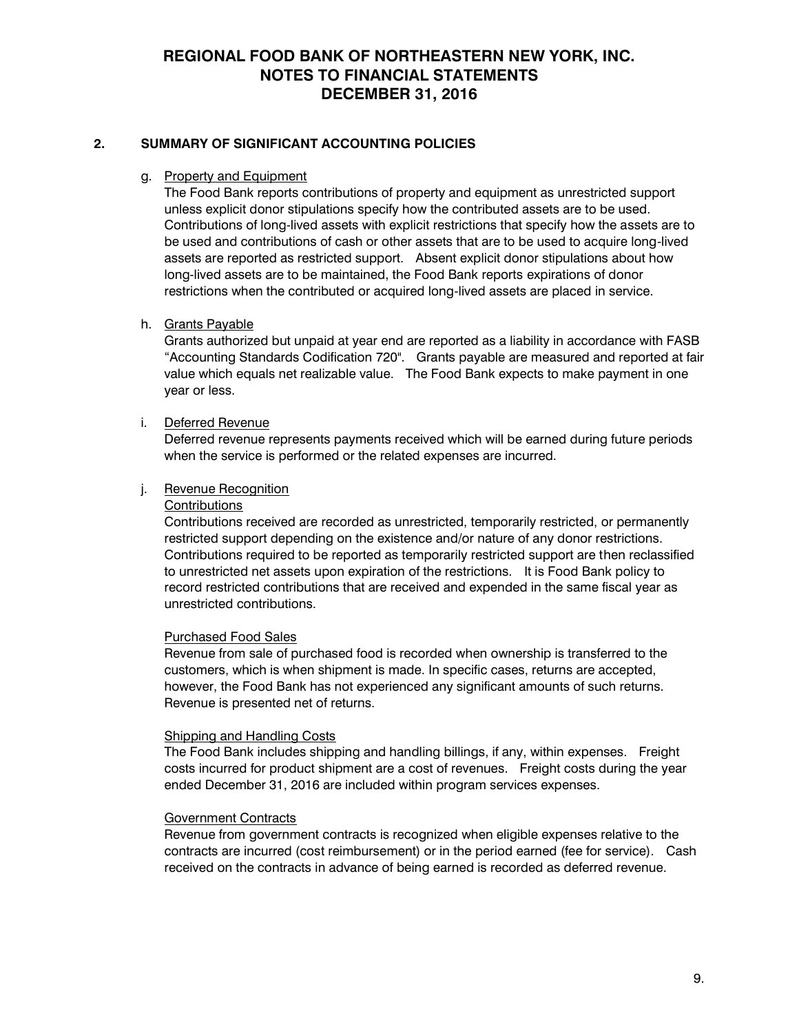# **2. SUMMARY OF SIGNIFICANT ACCOUNTING POLICIES**

# g. Property and Equipment

The Food Bank reports contributions of property and equipment as unrestricted support unless explicit donor stipulations specify how the contributed assets are to be used. Contributions of long-lived assets with explicit restrictions that specify how the assets are to be used and contributions of cash or other assets that are to be used to acquire long-lived assets are reported as restricted support. Absent explicit donor stipulations about how long-lived assets are to be maintained, the Food Bank reports expirations of donor restrictions when the contributed or acquired long-lived assets are placed in service.

## h. Grants Payable

Grants authorized but unpaid at year end are reported as a liability in accordance with FASB "Accounting Standards Codification 720". Grants payable are measured and reported at fair value which equals net realizable value. The Food Bank expects to make payment in one year or less.

### i. Deferred Revenue

Deferred revenue represents payments received which will be earned during future periods when the service is performed or the related expenses are incurred.

## j. Revenue Recognition

#### **Contributions**

Contributions received are recorded as unrestricted, temporarily restricted, or permanently restricted support depending on the existence and/or nature of any donor restrictions. Contributions required to be reported as temporarily restricted support are then reclassified to unrestricted net assets upon expiration of the restrictions. It is Food Bank policy to record restricted contributions that are received and expended in the same fiscal year as unrestricted contributions.

#### Purchased Food Sales

Revenue from sale of purchased food is recorded when ownership is transferred to the customers, which is when shipment is made. In specific cases, returns are accepted, however, the Food Bank has not experienced any significant amounts of such returns. Revenue is presented net of returns.

#### Shipping and Handling Costs

The Food Bank includes shipping and handling billings, if any, within expenses. Freight costs incurred for product shipment are a cost of revenues. Freight costs during the year ended December 31, 2016 are included within program services expenses.

#### Government Contracts

Revenue from government contracts is recognized when eligible expenses relative to the contracts are incurred (cost reimbursement) or in the period earned (fee for service). Cash received on the contracts in advance of being earned is recorded as deferred revenue.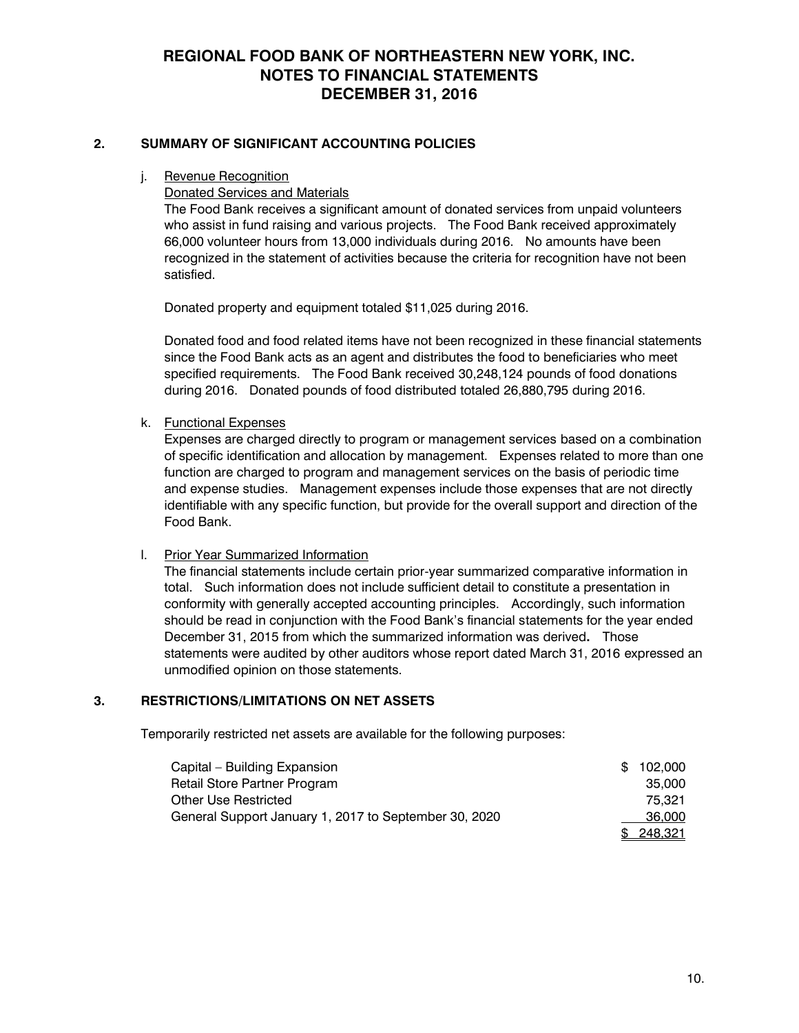## **2. SUMMARY OF SIGNIFICANT ACCOUNTING POLICIES**

j. Revenue Recognition

Donated Services and Materials

The Food Bank receives a significant amount of donated services from unpaid volunteers who assist in fund raising and various projects. The Food Bank received approximately 66,000 volunteer hours from 13,000 individuals during 2016. No amounts have been recognized in the statement of activities because the criteria for recognition have not been satisfied.

Donated property and equipment totaled \$11,025 during 2016.

Donated food and food related items have not been recognized in these financial statements since the Food Bank acts as an agent and distributes the food to beneficiaries who meet specified requirements. The Food Bank received 30,248,124 pounds of food donations during 2016. Donated pounds of food distributed totaled 26,880,795 during 2016.

k. Functional Expenses

Expenses are charged directly to program or management services based on a combination of specific identification and allocation by management. Expenses related to more than one function are charged to program and management services on the basis of periodic time and expense studies. Management expenses include those expenses that are not directly identifiable with any specific function, but provide for the overall support and direction of the Food Bank.

## l. Prior Year Summarized Information

The financial statements include certain prior-year summarized comparative information in total. Such information does not include sufficient detail to constitute a presentation in conformity with generally accepted accounting principles. Accordingly, such information should be read in conjunction with the Food Bank's financial statements for the year ended December 31, 2015 from which the summarized information was derived**.** Those statements were audited by other auditors whose report dated March 31, 2016 expressed an unmodified opinion on those statements.

## **3. RESTRICTIONS/LIMITATIONS ON NET ASSETS**

Temporarily restricted net assets are available for the following purposes:

| Capital – Building Expansion                          | \$102,000 |
|-------------------------------------------------------|-----------|
| Retail Store Partner Program                          | 35,000    |
| Other Use Restricted                                  | 75.321    |
| General Support January 1, 2017 to September 30, 2020 | 36,000    |
|                                                       | \$248,321 |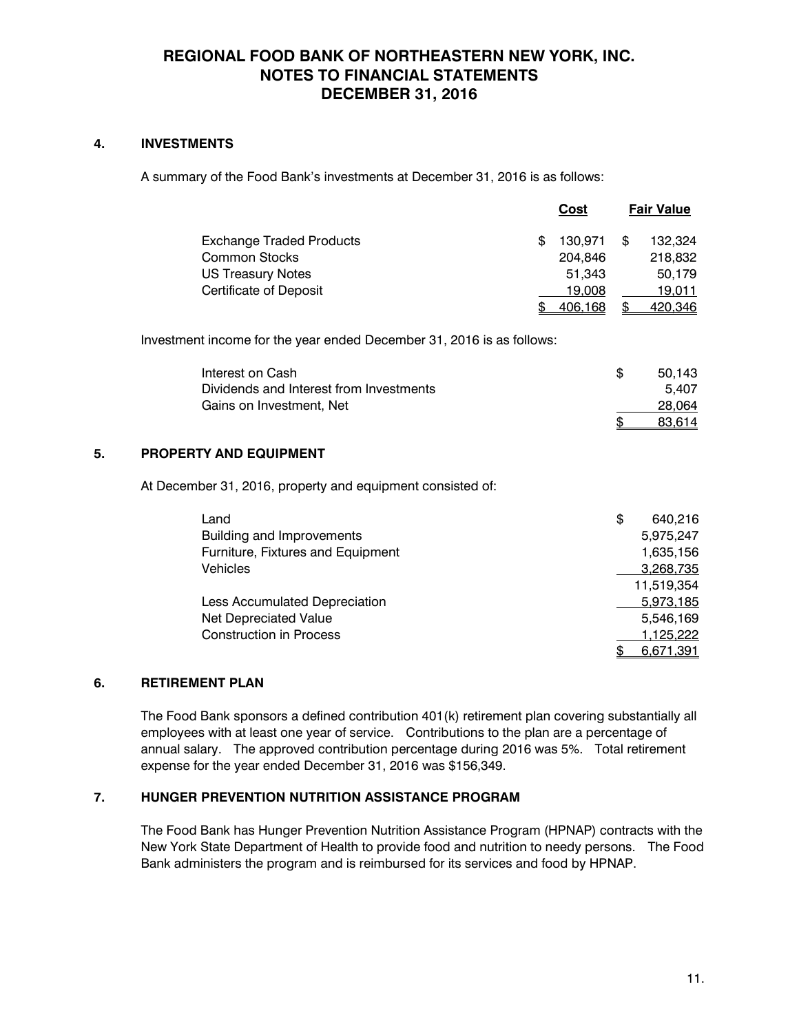# **4. INVESTMENTS**

A summary of the Food Bank's investments at December 31, 2016 is as follows:

|                                 | Cost          | <b>Fair Value</b> |
|---------------------------------|---------------|-------------------|
| <b>Exchange Traded Products</b> | \$<br>130.971 | \$<br>132.324     |
| <b>Common Stocks</b>            | 204.846       | 218,832           |
| <b>US Treasury Notes</b>        | 51.343        | 50.179            |
| <b>Certificate of Deposit</b>   | 19,008        | 19.011            |
|                                 | 406,168       | 420,346           |

Investment income for the year ended December 31, 2016 is as follows:

| Interest on Cash                        | 50.143 |
|-----------------------------------------|--------|
| Dividends and Interest from Investments | 5.407  |
| Gains on Investment, Net                | 28,064 |
|                                         | 83.614 |

## **5. PROPERTY AND EQUIPMENT**

At December 31, 2016, property and equipment consisted of:

| Land                              | \$<br>640.216 |
|-----------------------------------|---------------|
| Building and Improvements         | 5,975,247     |
| Furniture, Fixtures and Equipment | 1,635,156     |
| <b>Vehicles</b>                   | 3,268,735     |
|                                   | 11,519,354    |
| Less Accumulated Depreciation     | 5,973,185     |
| Net Depreciated Value             | 5,546,169     |
| <b>Construction in Process</b>    | 1,125,222     |
|                                   | 6,671,391     |

## **6. RETIREMENT PLAN**

The Food Bank sponsors a defined contribution 401(k) retirement plan covering substantially all employees with at least one year of service. Contributions to the plan are a percentage of annual salary. The approved contribution percentage during 2016 was 5%. Total retirement expense for the year ended December 31, 2016 was \$156,349.

## **7. HUNGER PREVENTION NUTRITION ASSISTANCE PROGRAM**

The Food Bank has Hunger Prevention Nutrition Assistance Program (HPNAP) contracts with the New York State Department of Health to provide food and nutrition to needy persons. The Food Bank administers the program and is reimbursed for its services and food by HPNAP.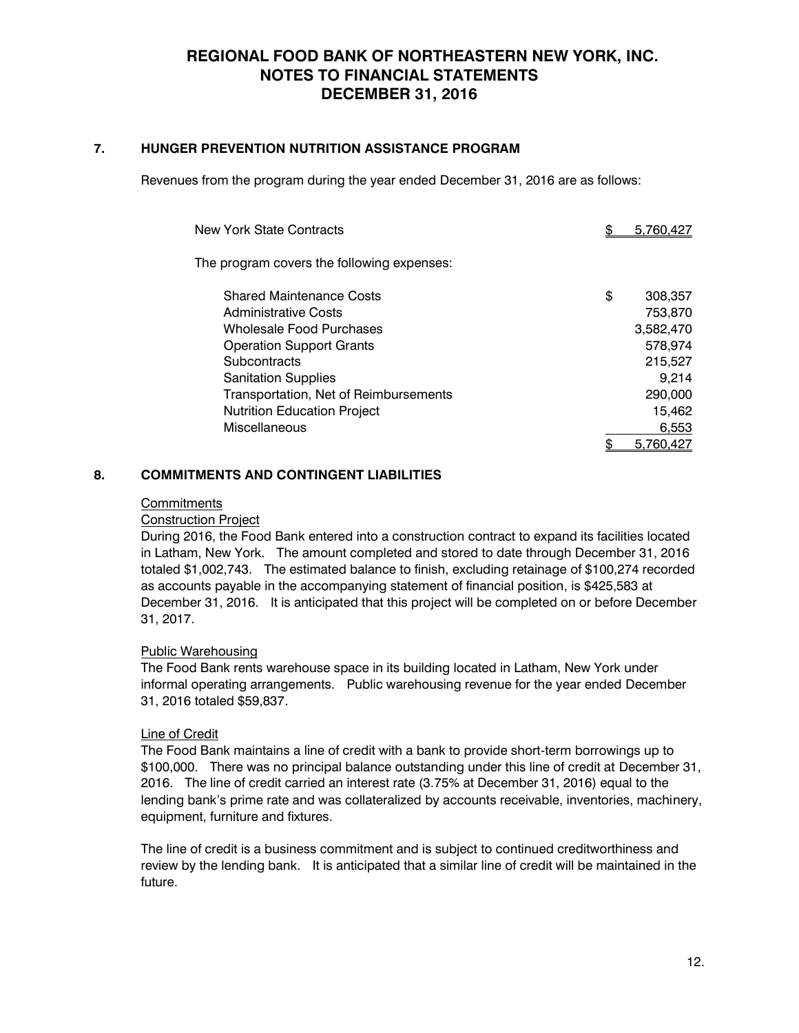### **7. HUNGER PREVENTION NUTRITION ASSISTANCE PROGRAM**

Revenues from the program during the year ended December 31, 2016 are as follows:

| New York State Contracts                   | 5.760.427     |
|--------------------------------------------|---------------|
| The program covers the following expenses: |               |
| <b>Shared Maintenance Costs</b>            | \$<br>308,357 |
| <b>Administrative Costs</b>                | 753,870       |
| Wholesale Food Purchases                   | 3,582,470     |
| <b>Operation Support Grants</b>            | 578.974       |
| Subcontracts                               | 215,527       |
| <b>Sanitation Supplies</b>                 | 9,214         |
| Transportation, Net of Reimbursements      | 290,000       |
| <b>Nutrition Education Project</b>         | 15,462        |
| Miscellaneous                              | 6,553         |
|                                            | 5.760.427     |

## **8. COMMITMENTS AND CONTINGENT LIABILITIES**

#### **Commitments**

#### Construction Project

During 2016, the Food Bank entered into a construction contract to expand its facilities located in Latham, New York. The amount completed and stored to date through December 31, 2016 totaled \$1,002,743. The estimated balance to finish, excluding retainage of \$100,274 recorded as accounts payable in the accompanying statement of financial position, is \$425,583 at December 31, 2016. It is anticipated that this project will be completed on or before December 31, 2017.

#### Public Warehousing

The Food Bank rents warehouse space in its building located in Latham, New York under informal operating arrangements. Public warehousing revenue for the year ended December 31, 2016 totaled \$59,837.

#### Line of Credit

The Food Bank maintains a line of credit with a bank to provide short-term borrowings up to \$100,000. There was no principal balance outstanding under this line of credit at December 31, 2016. The line of credit carried an interest rate (3.75% at December 31, 2016) equal to the lending bank's prime rate and was collateralized by accounts receivable, inventories, machinery, equipment, furniture and fixtures.

The line of credit is a business commitment and is subject to continued creditworthiness and review by the lending bank. It is anticipated that a similar line of credit will be maintained in the future.